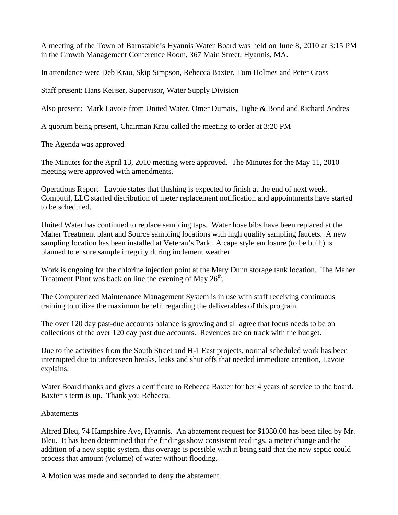A meeting of the Town of Barnstable's Hyannis Water Board was held on June 8, 2010 at 3:15 PM in the Growth Management Conference Room, 367 Main Street, Hyannis, MA.

In attendance were Deb Krau, Skip Simpson, Rebecca Baxter, Tom Holmes and Peter Cross

Staff present: Hans Keijser, Supervisor, Water Supply Division

Also present: Mark Lavoie from United Water, Omer Dumais, Tighe & Bond and Richard Andres

A quorum being present, Chairman Krau called the meeting to order at 3:20 PM

The Agenda was approved

The Minutes for the April 13, 2010 meeting were approved. The Minutes for the May 11, 2010 meeting were approved with amendments.

Operations Report –Lavoie states that flushing is expected to finish at the end of next week. Computil, LLC started distribution of meter replacement notification and appointments have started to be scheduled.

United Water has continued to replace sampling taps. Water hose bibs have been replaced at the Maher Treatment plant and Source sampling locations with high quality sampling faucets. A new sampling location has been installed at Veteran's Park. A cape style enclosure (to be built) is planned to ensure sample integrity during inclement weather.

Work is ongoing for the chlorine injection point at the Mary Dunn storage tank location. The Maher Treatment Plant was back on line the evening of May  $26<sup>th</sup>$ .

The Computerized Maintenance Management System is in use with staff receiving continuous training to utilize the maximum benefit regarding the deliverables of this program.

The over 120 day past-due accounts balance is growing and all agree that focus needs to be on collections of the over 120 day past due accounts. Revenues are on track with the budget.

Due to the activities from the South Street and H-1 East projects, normal scheduled work has been interrupted due to unforeseen breaks, leaks and shut offs that needed immediate attention, Lavoie explains.

Water Board thanks and gives a certificate to Rebecca Baxter for her 4 years of service to the board. Baxter's term is up. Thank you Rebecca.

## Abatements

Alfred Bleu, 74 Hampshire Ave, Hyannis. An abatement request for \$1080.00 has been filed by Mr. Bleu. It has been determined that the findings show consistent readings, a meter change and the addition of a new septic system, this overage is possible with it being said that the new septic could process that amount (volume) of water without flooding.

A Motion was made and seconded to deny the abatement.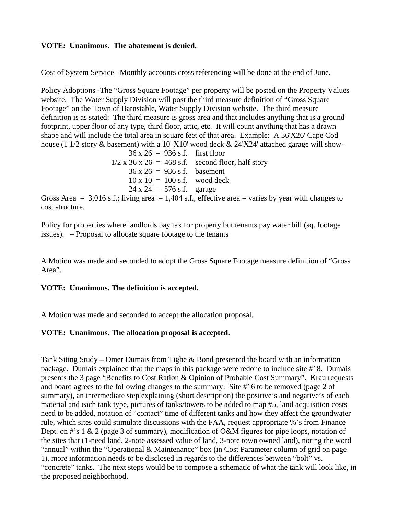## **VOTE: Unanimous. The abatement is denied.**

Cost of System Service –Monthly accounts cross referencing will be done at the end of June.

Policy Adoptions -The "Gross Square Footage" per property will be posted on the Property Values website. The Water Supply Division will post the third measure definition of "Gross Square Footage" on the Town of Barnstable, Water Supply Division website. The third measure definition is as stated: The third measure is gross area and that includes anything that is a ground footprint, upper floor of any type, third floor, attic, etc. It will count anything that has a drawn shape and will include the total area in square feet of that area. Example: A 36'X26' Cape Cod house (1  $1/2$  story  $\&$  basement) with a 10' X10' wood deck  $\&$  24'X24' attached garage will show-

> $36 \times 26 = 936 \text{ s.f.}$  first floor  $1/2$  x 36 x 26 = 468 s.f. second floor, half story  $36 \times 26 = 936 \text{ s.f.}$  basement  $10 \times 10 = 100$  s.f. wood deck  $24 \times 24 = 576 \text{ s.f.}$  garage

Gross Area  $= 3,016$  s.f.; living area  $= 1,404$  s.f., effective area  $=$  varies by year with changes to cost structure.

Policy for properties where landlords pay tax for property but tenants pay water bill (sq. footage issues). – Proposal to allocate square footage to the tenants

A Motion was made and seconded to adopt the Gross Square Footage measure definition of "Gross Area".

## **VOTE: Unanimous. The definition is accepted.**

A Motion was made and seconded to accept the allocation proposal.

### **VOTE: Unanimous. The allocation proposal is accepted.**

Tank Siting Study – Omer Dumais from Tighe & Bond presented the board with an information package. Dumais explained that the maps in this package were redone to include site #18. Dumais presents the 3 page "Benefits to Cost Ration & Opinion of Probable Cost Summary". Krau requests and board agrees to the following changes to the summary: Site #16 to be removed (page 2 of summary), an intermediate step explaining (short description) the positive's and negative's of each material and each tank type, pictures of tanks/towers to be added to map #5, land acquisition costs need to be added, notation of "contact" time of different tanks and how they affect the groundwater rule, which sites could stimulate discussions with the FAA, request appropriate %'s from Finance Dept. on #'s 1 & 2 (page 3 of summary), modification of O&M figures for pipe loops, notation of the sites that (1-need land, 2-note assessed value of land, 3-note town owned land), noting the word "annual" within the "Operational & Maintenance" box (in Cost Parameter column of grid on page 1), more information needs to be disclosed in regards to the differences between "bolt" vs. "concrete" tanks. The next steps would be to compose a schematic of what the tank will look like, in the proposed neighborhood.